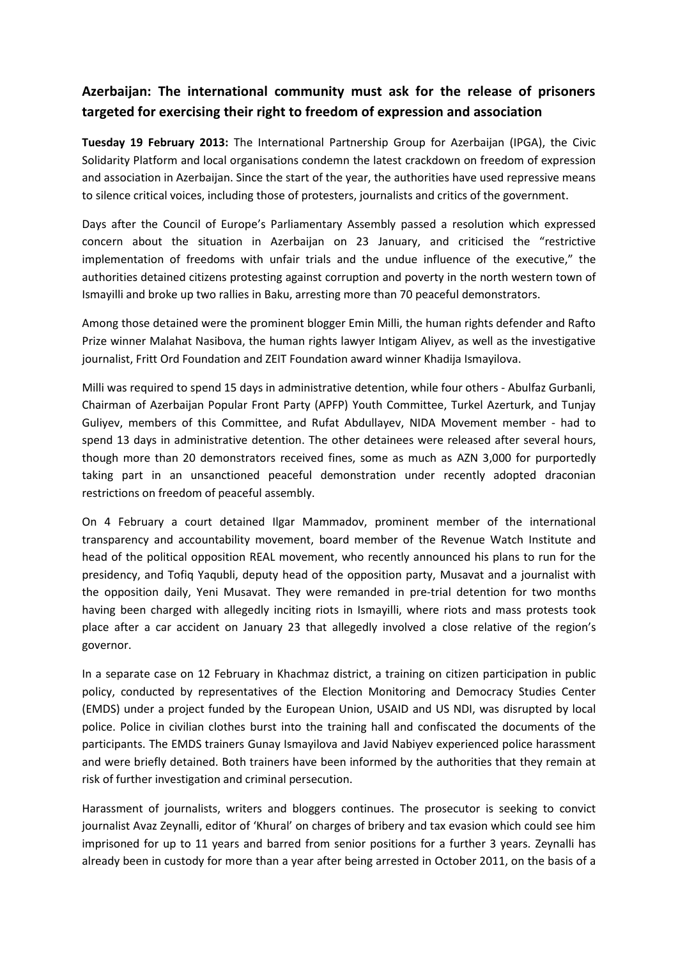## **Azerbaijan: The international community must ask for the release of prisoners targeted for exercising their right to freedom of expression and association**

**Tuesday 19 February 2013:** The International Partnership Group for Azerbaijan (IPGA), the Civic Solidarity Platform and local organisations condemn the latest crackdown on freedom of expression and association in Azerbaijan. Since the start of the year, the authorities have used repressive means to silence critical voices, including those of protesters, journalists and critics of the government.

Days after the Council of Europe's Parliamentary Assembly passed a resolution which expressed concern about the situation in Azerbaijan on 23 January, and criticised the "restrictive implementation of freedoms with unfair trials and the undue influence of the executive," the authorities detained citizens protesting against corruption and poverty in the north western town of Ismayilli and broke up two rallies in Baku, arresting more than 70 peaceful demonstrators.

Among those detained were the prominent blogger Emin Milli, the human rights defender and Rafto Prize winner Malahat Nasibova, the human rights lawyer Intigam Aliyev, as well as the investigative journalist, Fritt Ord Foundation and ZEIT Foundation award winner Khadija Ismayilova.

Milli was required to spend 15 days in administrative detention, while four others - Abulfaz Gurbanli, Chairman of Azerbaijan Popular Front Party (APFP) Youth Committee, Turkel Azerturk, and Tunjay Guliyev, members of this Committee, and Rufat Abdullayev, NIDA Movement member - had to spend 13 days in administrative detention. The other detainees were released after several hours, though more than 20 demonstrators received fines, some as much as AZN 3,000 for purportedly taking part in an unsanctioned peaceful demonstration under recently adopted draconian restrictions on freedom of peaceful assembly.

On 4 February a court detained Ilgar Mammadov, prominent member of the international transparency and accountability movement, board member of the Revenue Watch Institute and head of the political opposition REAL movement, who recently announced his plans to run for the presidency, and Tofiq Yaqubli, deputy head of the opposition party, Musavat and a journalist with the opposition daily, Yeni Musavat. They were remanded in pre-trial detention for two months having been charged with allegedly inciting riots in Ismayilli, where riots and mass protests took place after a car accident on January 23 that allegedly involved a close relative of the region's governor.

In a separate case on 12 February in Khachmaz district, a training on citizen participation in public policy, conducted by representatives of the Election Monitoring and Democracy Studies Center (EMDS) under a project funded by the European Union, USAID and US NDI, was disrupted by local police. Police in civilian clothes burst into the training hall and confiscated the documents of the participants. The EMDS trainers Gunay Ismayilova and Javid Nabiyev experienced police harassment and were briefly detained. Both trainers have been informed by the authorities that they remain at risk of further investigation and criminal persecution.

Harassment of journalists, writers and bloggers continues. The prosecutor is seeking to convict journalist Avaz Zeynalli, editor of 'Khural' on charges of bribery and tax evasion which could see him imprisoned for up to 11 years and barred from senior positions for a further 3 years. Zeynalli has already been in custody for more than a year after being arrested in October 2011, on the basis of a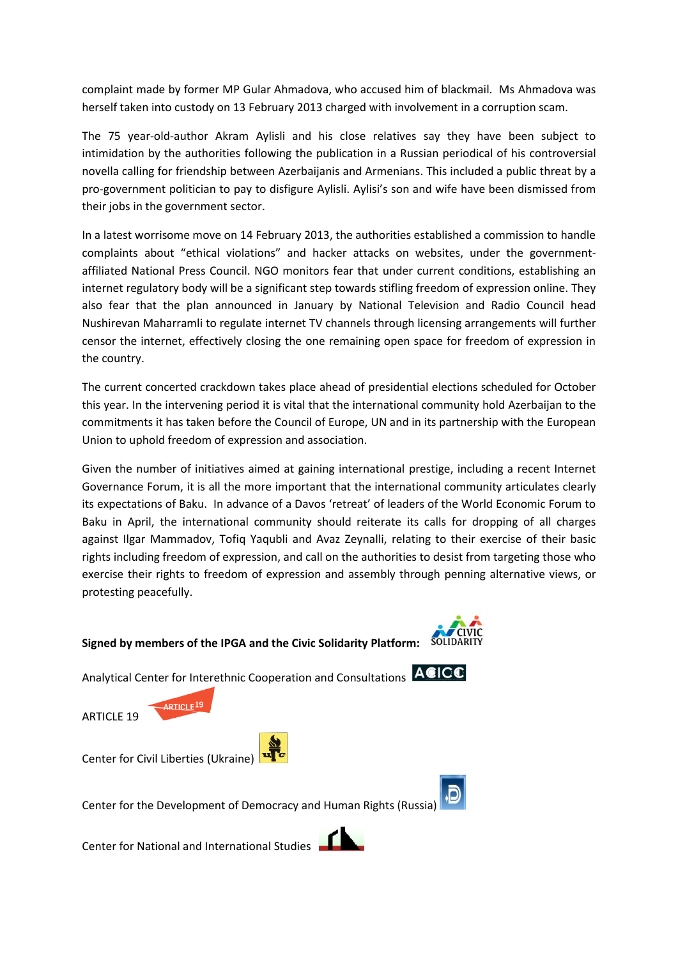complaint made by former MP Gular Ahmadova, who accused him of blackmail. Ms Ahmadova was herself taken into custody on 13 February 2013 charged with involvement in a corruption scam.

The 75 year-old-author Akram Aylisli and his close relatives say they have been subject to intimidation by the authorities following the publication in a Russian periodical of his controversial novella calling for friendship between Azerbaijanis and Armenians. This included a public threat by a pro-government politician to pay to disfigure Aylisli. Aylisi's son and wife have been dismissed from their jobs in the government sector.

In a latest worrisome move on 14 February 2013, the authorities established a commission to handle complaints about "ethical violations" and hacker attacks on websites, under the governmentaffiliated National Press Council. NGO monitors fear that under current conditions, establishing an internet regulatory body will be a significant step towards stifling freedom of expression online. They also fear that the plan announced in January by National Television and Radio Council head Nushirevan Maharramli to regulate internet TV channels through licensing arrangements will further censor the internet, effectively closing the one remaining open space for freedom of expression in the country.

The current concerted crackdown takes place ahead of presidential elections scheduled for October this year. In the intervening period it is vital that the international community hold Azerbaijan to the commitments it has taken before the Council of Europe, UN and in its partnership with the European Union to uphold freedom of expression and association.

Given the number of initiatives aimed at gaining international prestige, including a recent Internet Governance Forum, it is all the more important that the international community articulates clearly its expectations of Baku. In advance of a Davos 'retreat' of leaders of the World Economic Forum to Baku in April, the international community should reiterate its calls for dropping of all charges against Ilgar Mammadov, Tofiq Yaqubli and Avaz Zeynalli, relating to their exercise of their basic rights including freedom of expression, and call on the authorities to desist from targeting those who exercise their rights to freedom of expression and assembly through penning alternative views, or protesting peacefully.

## **Signed by members of the IPGA and the Civic Solidarity Platform:**

Analytical Center for Interethnic Cooperation and Consultations **ACICO** 

ARTICLE 19

Center for Civil Liberties (Ukraine)

ARTICLE<sup>19</sup>



Center for National and International Studies





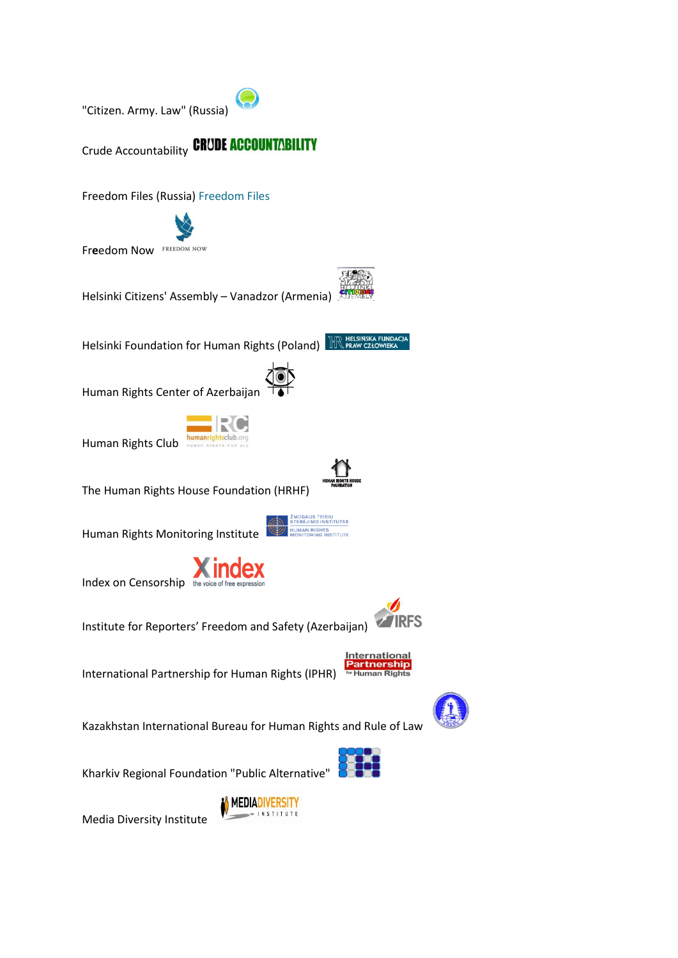"Citizen. Army. Law" (Russia)



Freedom Files (Russia) Freedom Files



Helsinki Citizens' Assembly – Vanadzor (Armenia)

Helsinki Foundation for Human Rights (Poland) RELSINSKA FUNDACIA

Human Rights Center of Azerbaijan



Human Rights Club

The Human Rights House Foundation (HRHF)

Human Rights Monitoring Institute



Index on Censorship the voice of free expressior

 $\nabla$  IRFS Institute for Reporters' Freedom and Safety (Azerbaijan)



ZMOGAUS TEISIŲ<br>STEBĖJIMO INSTITUTAS

International Partnership for Human Rights (IPHR)

Kazakhstan International Bureau for Human Rights and Rule of Law



Kharkiv Regional Foundation "Public Alternative"



Media Diversity Institute